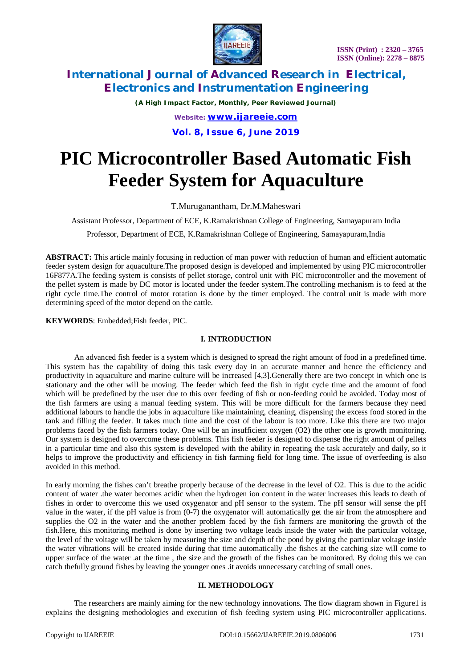

*(A High Impact Factor, Monthly, Peer Reviewed Journal) Website: [www.ijareeie.com](http://www.ijareeie.com)* **Vol. 8, Issue 6, June 2019**

# **PIC Microcontroller Based Automatic Fish Feeder System for Aquaculture**

T.Muruganantham, Dr.M.Maheswari

Assistant Professor, Department of ECE, K.Ramakrishnan College of Engineering, Samayapuram India

Professor, Department of ECE, K.Ramakrishnan College of Engineering, Samayapuram,India

**ABSTRACT:** This article mainly focusing in reduction of man power with reduction of human and efficient automatic feeder system design for aquaculture.The proposed design is developed and implemented by using PIC microcontroller 16F877A.The feeding system is consists of pellet storage, control unit with PIC microcontroller and the movement of the pellet system is made by DC motor is located under the feeder system.The controlling mechanism is to feed at the right cycle time.The control of motor rotation is done by the timer employed. The control unit is made with more determining speed of the motor depend on the cattle.

**KEYWORDS**: Embedded;Fish feeder, PIC.

#### **I. INTRODUCTION**

An advanced fish feeder is a system which is designed to spread the right amount of food in a predefined time. This system has the capability of doing this task every day in an accurate manner and hence the efficiency and productivity in aquaculture and marine culture will be increased [4,3].Generally there are two concept in which one is stationary and the other will be moving. The feeder which feed the fish in right cycle time and the amount of food which will be predefined by the user due to this over feeding of fish or non-feeding could be avoided. Today most of the fish farmers are using a manual feeding system. This will be more difficult for the farmers because they need additional labours to handle the jobs in aquaculture like maintaining, cleaning, dispensing the excess food stored in the tank and filling the feeder. It takes much time and the cost of the labour is too more. Like this there are two major problems faced by the fish farmers today. One will be an insufficient oxygen (O2) the other one is growth monitoring. Our system is designed to overcome these problems. This fish feeder is designed to dispense the right amount of pellets in a particular time and also this system is developed with the ability in repeating the task accurately and daily, so it helps to improve the productivity and efficiency in fish farming field for long time. The issue of overfeeding is also avoided in this method.

In early morning the fishes can't breathe properly because of the decrease in the level of O2. This is due to the acidic content of water .the water becomes acidic when the hydrogen ion content in the water increases this leads to death of fishes in order to overcome this we used oxygenator and pH sensor to the system. The pH sensor will sense the pH value in the water, if the pH value is from (0-7) the oxygenator will automatically get the air from the atmosphere and supplies the O2 in the water and the another problem faced by the fish farmers are monitoring the growth of the fish.Here, this monitoring method is done by inserting two voltage leads inside the water with the particular voltage, the level of the voltage will be taken by measuring the size and depth of the pond by giving the particular voltage inside the water vibrations will be created inside during that time automatically .the fishes at the catching size will come to upper surface of the water .at the time , the size and the growth of the fishes can be monitored. By doing this we can catch thefully ground fishes by leaving the younger ones .it avoids unnecessary catching of small ones.

### **II. METHODOLOGY**

The researchers are mainly aiming for the new technology innovations. The flow diagram shown in Figure1 is explains the designing methodologies and execution of fish feeding system using PIC microcontroller applications.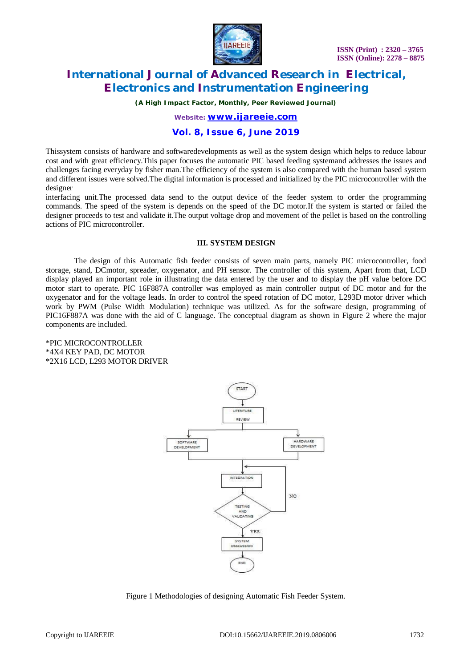

*(A High Impact Factor, Monthly, Peer Reviewed Journal)*

*Website: [www.ijareeie.com](http://www.ijareeie.com)*

### **Vol. 8, Issue 6, June 2019**

Thissystem consists of hardware and softwaredevelopments as well as the system design which helps to reduce labour cost and with great efficiency.This paper focuses the automatic PIC based feeding systemand addresses the issues and challenges facing everyday by fisher man.The efficiency of the system is also compared with the human based system and different issues were solved.The digital information is processed and initialized by the PIC microcontroller with the designer

interfacing unit.The processed data send to the output device of the feeder system to order the programming commands. The speed of the system is depends on the speed of the DC motor.If the system is started or failed the designer proceeds to test and validate it.The output voltage drop and movement of the pellet is based on the controlling actions of PIC microcontroller.

#### **III. SYSTEM DESIGN**

The design of this Automatic fish feeder consists of seven main parts, namely PIC microcontroller, food storage, stand, DCmotor, spreader, oxygenator, and PH sensor. The controller of this system, Apart from that, LCD display played an important role in illustrating the data entered by the user and to display the pH value before DC motor start to operate. PIC 16F887A controller was employed as main controller output of DC motor and for the oxygenator and for the voltage leads. In order to control the speed rotation of DC motor, L293D motor driver which work by PWM (Pulse Width Modulation) technique was utilized. As for the software design, programming of PIC16F887A was done with the aid of C language. The conceptual diagram as shown in Figure 2 where the major components are included.

\*PIC MICROCONTROLLER \*4X4 KEY PAD, DC MOTOR \*2X16 LCD, L293 MOTOR DRIVER



Figure 1 Methodologies of designing Automatic Fish Feeder System.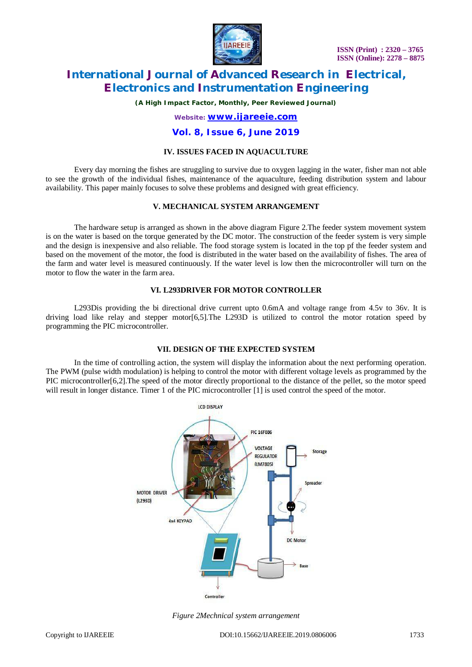

*(A High Impact Factor, Monthly, Peer Reviewed Journal)*

*Website: [www.ijareeie.com](http://www.ijareeie.com)*

### **Vol. 8, Issue 6, June 2019**

### **IV. ISSUES FACED IN AQUACULTURE**

Every day morning the fishes are struggling to survive due to oxygen lagging in the water, fisher man not able to see the growth of the individual fishes, maintenance of the aquaculture, feeding distribution system and labour availability. This paper mainly focuses to solve these problems and designed with great efficiency.

### **V. MECHANICAL SYSTEM ARRANGEMENT**

The hardware setup is arranged as shown in the above diagram Figure 2.The feeder system movement system is on the water is based on the torque generated by the DC motor. The construction of the feeder system is very simple and the design is inexpensive and also reliable. The food storage system is located in the top pf the feeder system and based on the movement of the motor, the food is distributed in the water based on the availability of fishes. The area of the farm and water level is measured continuously. If the water level is low then the microcontroller will turn on the motor to flow the water in the farm area.

#### **VI. L293DRIVER FOR MOTOR CONTROLLER**

L293Dis providing the bi directional drive current upto 0.6mA and voltage range from 4.5v to 36v. It is driving load like relay and stepper motor[6,5].The L293D is utilized to control the motor rotation speed by programming the PIC microcontroller.

#### **VII. DESIGN OF THE EXPECTED SYSTEM**

In the time of controlling action, the system will display the information about the next performing operation. The PWM (pulse width modulation) is helping to control the motor with different voltage levels as programmed by the PIC microcontroller[6,2].The speed of the motor directly proportional to the distance of the pellet, so the motor speed will result in longer distance. Timer 1 of the PIC microcontroller [1] is used control the speed of the motor.



*Figure 2Mechnical system arrangement*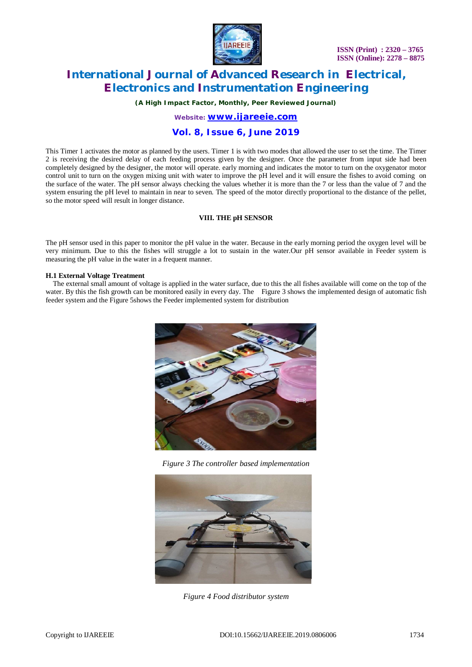

*(A High Impact Factor, Monthly, Peer Reviewed Journal)*

*Website: [www.ijareeie.com](http://www.ijareeie.com)*

### **Vol. 8, Issue 6, June 2019**

This Timer 1 activates the motor as planned by the users. Timer 1 is with two modes that allowed the user to set the time. The Timer 2 is receiving the desired delay of each feeding process given by the designer. Once the parameter from input side had been completely designed by the designer, the motor will operate. early morning and indicates the motor to turn on the oxygenator motor control unit to turn on the oxygen mixing unit with water to improve the pH level and it will ensure the fishes to avoid coming on the surface of the water. The pH sensor always checking the values whether it is more than the 7 or less than the value of 7 and the system ensuring the pH level to maintain in near to seven. The speed of the motor directly proportional to the distance of the pellet, so the motor speed will result in longer distance.

#### **VIII. THE pH SENSOR**

The pH sensor used in this paper to monitor the pH value in the water. Because in the early morning period the oxygen level will be very minimum. Due to this the fishes will struggle a lot to sustain in the water.Our pH sensor available in Feeder system is measuring the pH value in the water in a frequent manner.

#### **H.1 External Voltage Treatment**

The external small amount of voltage is applied in the water surface, due to this the all fishes available will come on the top of the water. By this the fish growth can be monitored easily in every day. The Figure 3 shows the implemented design of automatic fish feeder system and the Figure 5shows the Feeder implemented system for distribution



*Figure 3 The controller based implementation*



*Figure 4 Food distributor system*